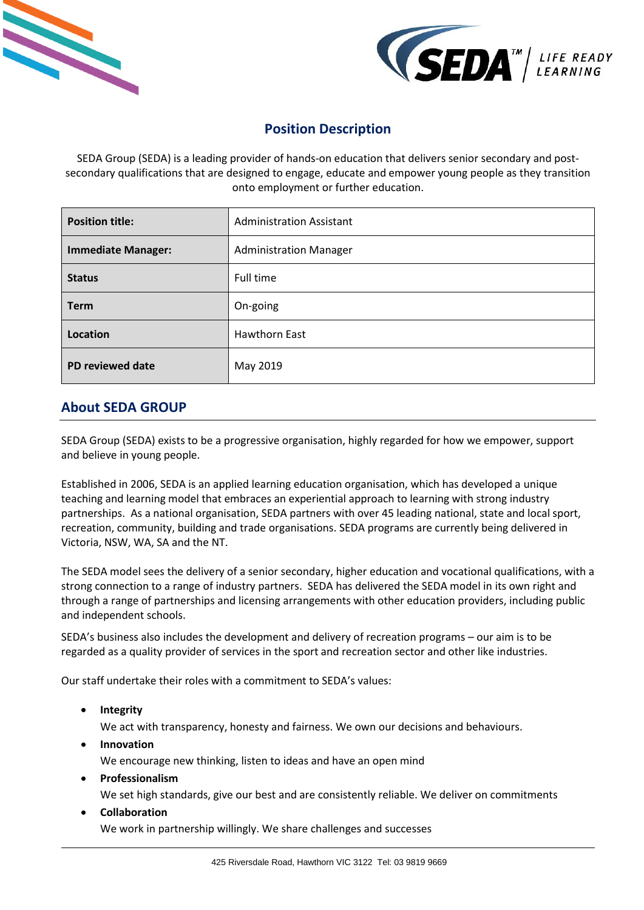



# **Position Description**

SEDA Group (SEDA) is a leading provider of hands-on education that delivers senior secondary and postsecondary qualifications that are designed to engage, educate and empower young people as they transition onto employment or further education.

| <b>Position title:</b>    | <b>Administration Assistant</b> |
|---------------------------|---------------------------------|
| <b>Immediate Manager:</b> | <b>Administration Manager</b>   |
| <b>Status</b>             | Full time                       |
| <b>Term</b>               | On-going                        |
| <b>Location</b>           | <b>Hawthorn East</b>            |
| PD reviewed date          | May 2019                        |

#### **About SEDA GROUP**

SEDA Group (SEDA) exists to be a progressive organisation, highly regarded for how we empower, support and believe in young people.

Established in 2006, SEDA is an applied learning education organisation, which has developed a unique teaching and learning model that embraces an experiential approach to learning with strong industry partnerships. As a national organisation, SEDA partners with over 45 leading national, state and local sport, recreation, community, building and trade organisations. SEDA programs are currently being delivered in Victoria, NSW, WA, SA and the NT.

The SEDA model sees the delivery of a senior secondary, higher education and vocational qualifications, with a strong connection to a range of industry partners. SEDA has delivered the SEDA model in its own right and through a range of partnerships and licensing arrangements with other education providers, including public and independent schools.

SEDA's business also includes the development and delivery of recreation programs – our aim is to be regarded as a quality provider of services in the sport and recreation sector and other like industries.

Our staff undertake their roles with a commitment to SEDA's values:

**Integrity**

We act with transparency, honesty and fairness. We own our decisions and behaviours.

- **•** Innovation We encourage new thinking, listen to ideas and have an open mind
- **Professionalism** We set high standards, give our best and are consistently reliable. We deliver on commitments
	- **Collaboration**

We work in partnership willingly. We share challenges and successes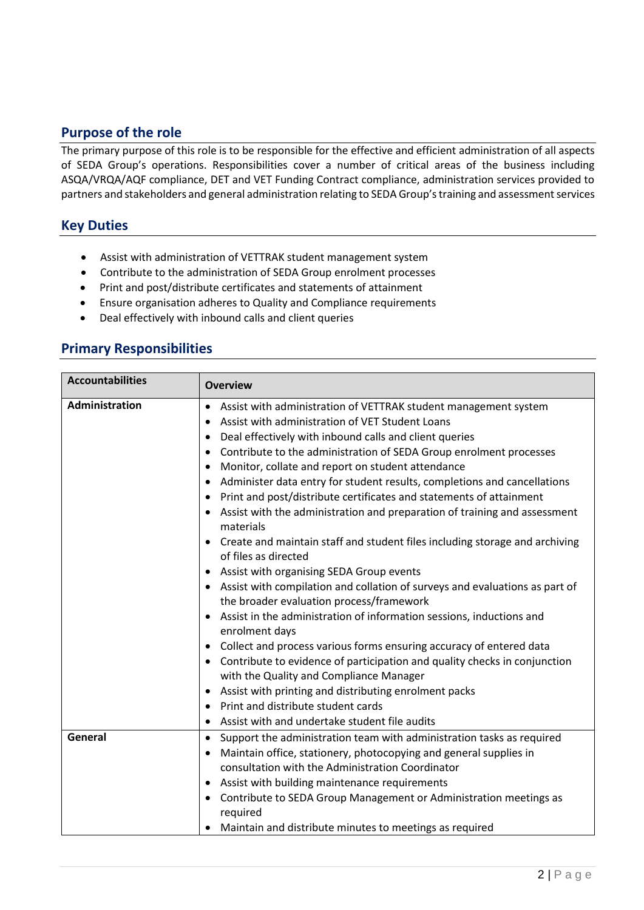## **Purpose of the role**

The primary purpose of this role is to be responsible for the effective and efficient administration of all aspects of SEDA Group's operations. Responsibilities cover a number of critical areas of the business including ASQA/VRQA/AQF compliance, DET and VET Funding Contract compliance, administration services provided to partners and stakeholders and general administration relating to SEDA Group's training and assessment services

#### **Key Duties**

- Assist with administration of VETTRAK student management system
- Contribute to the administration of SEDA Group enrolment processes
- Print and post/distribute certificates and statements of attainment
- Ensure organisation adheres to Quality and Compliance requirements
- Deal effectively with inbound calls and client queries

#### **Primary Responsibilities**

| <b>Accountabilities</b> | <b>Overview</b>                                                                                                                                                                                                                            |
|-------------------------|--------------------------------------------------------------------------------------------------------------------------------------------------------------------------------------------------------------------------------------------|
| <b>Administration</b>   | Assist with administration of VETTRAK student management system<br>$\bullet$<br>Assist with administration of VET Student Loans<br>$\bullet$<br>Deal effectively with inbound calls and client queries<br>$\bullet$                        |
|                         | Contribute to the administration of SEDA Group enrolment processes<br>$\bullet$<br>Monitor, collate and report on student attendance<br>$\bullet$<br>Administer data entry for student results, completions and cancellations<br>$\bullet$ |
|                         | Print and post/distribute certificates and statements of attainment<br>$\bullet$<br>Assist with the administration and preparation of training and assessment<br>$\bullet$<br>materials                                                    |
|                         | Create and maintain staff and student files including storage and archiving<br>$\bullet$<br>of files as directed<br>Assist with organising SEDA Group events<br>$\bullet$                                                                  |
|                         | • Assist with compilation and collation of surveys and evaluations as part of<br>the broader evaluation process/framework                                                                                                                  |
|                         | Assist in the administration of information sessions, inductions and<br>$\bullet$<br>enrolment days                                                                                                                                        |
|                         | Collect and process various forms ensuring accuracy of entered data<br>$\bullet$<br>Contribute to evidence of participation and quality checks in conjunction<br>$\bullet$<br>with the Quality and Compliance Manager                      |
|                         | Assist with printing and distributing enrolment packs<br>$\bullet$<br>Print and distribute student cards<br>$\bullet$<br>Assist with and undertake student file audits<br>$\bullet$                                                        |
| General                 | Support the administration team with administration tasks as required<br>$\bullet$<br>Maintain office, stationery, photocopying and general supplies in<br>$\bullet$                                                                       |
|                         | consultation with the Administration Coordinator<br>Assist with building maintenance requirements<br>٠                                                                                                                                     |
|                         | Contribute to SEDA Group Management or Administration meetings as<br>$\bullet$<br>required<br>Maintain and distribute minutes to meetings as required<br>$\bullet$                                                                         |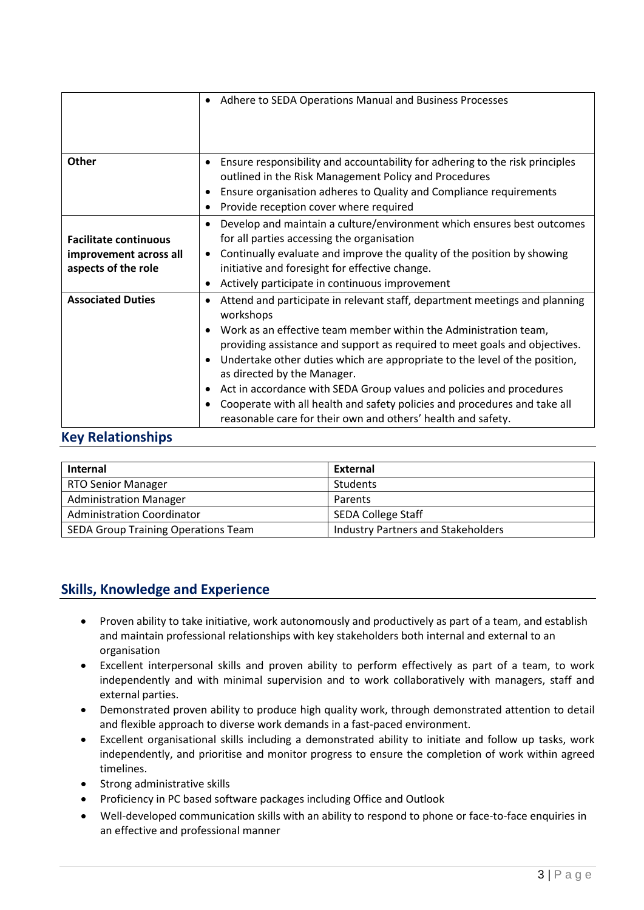|                                                                               | Adhere to SEDA Operations Manual and Business Processes<br>$\bullet$                                                                                                                                                                                                                                                                                                                                                                                                                                                                                                                                       |
|-------------------------------------------------------------------------------|------------------------------------------------------------------------------------------------------------------------------------------------------------------------------------------------------------------------------------------------------------------------------------------------------------------------------------------------------------------------------------------------------------------------------------------------------------------------------------------------------------------------------------------------------------------------------------------------------------|
| <b>Other</b>                                                                  | Ensure responsibility and accountability for adhering to the risk principles<br>$\bullet$<br>outlined in the Risk Management Policy and Procedures<br>Ensure organisation adheres to Quality and Compliance requirements<br>$\bullet$<br>Provide reception cover where required<br>$\bullet$                                                                                                                                                                                                                                                                                                               |
| <b>Facilitate continuous</b><br>improvement across all<br>aspects of the role | Develop and maintain a culture/environment which ensures best outcomes<br>$\bullet$<br>for all parties accessing the organisation<br>Continually evaluate and improve the quality of the position by showing<br>$\bullet$<br>initiative and foresight for effective change.<br>Actively participate in continuous improvement<br>$\bullet$                                                                                                                                                                                                                                                                 |
| <b>Associated Duties</b>                                                      | Attend and participate in relevant staff, department meetings and planning<br>$\bullet$<br>workshops<br>Work as an effective team member within the Administration team,<br>providing assistance and support as required to meet goals and objectives.<br>Undertake other duties which are appropriate to the level of the position,<br>as directed by the Manager.<br>Act in accordance with SEDA Group values and policies and procedures<br>$\bullet$<br>Cooperate with all health and safety policies and procedures and take all<br>٠<br>reasonable care for their own and others' health and safety. |

# **Key Relationships**

| <b>Internal</b>                            | External                                  |
|--------------------------------------------|-------------------------------------------|
| <b>RTO Senior Manager</b>                  | Students                                  |
| <b>Administration Manager</b>              | Parents                                   |
| <b>Administration Coordinator</b>          | <b>SEDA College Staff</b>                 |
| <b>SEDA Group Training Operations Team</b> | <b>Industry Partners and Stakeholders</b> |

# **Skills, Knowledge and Experience**

- Proven ability to take initiative, work autonomously and productively as part of a team, and establish and maintain professional relationships with key stakeholders both internal and external to an organisation
- Excellent interpersonal skills and proven ability to perform effectively as part of a team, to work independently and with minimal supervision and to work collaboratively with managers, staff and external parties.
- Demonstrated proven ability to produce high quality work, through demonstrated attention to detail and flexible approach to diverse work demands in a fast-paced environment.
- Excellent organisational skills including a demonstrated ability to initiate and follow up tasks, work independently, and prioritise and monitor progress to ensure the completion of work within agreed timelines.
- Strong administrative skills
- Proficiency in PC based software packages including Office and Outlook
- Well-developed communication skills with an ability to respond to phone or face-to-face enquiries in an effective and professional manner